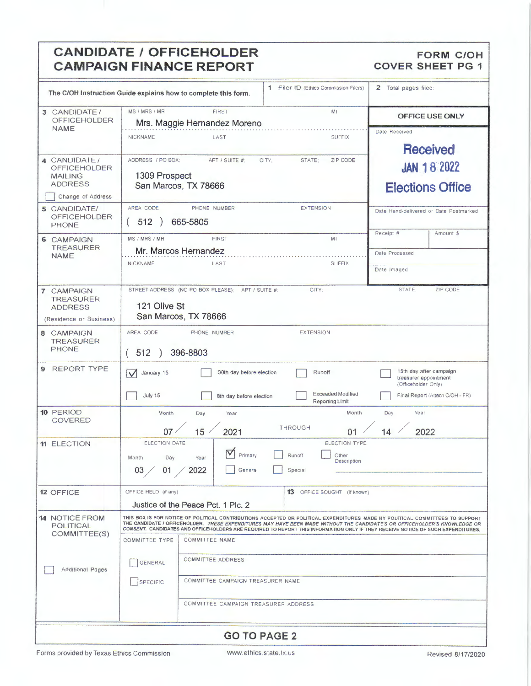### **CANDIDATE / OFFICEHOLDER CAMPAIGN FINANCE REPORT**

### **FORM C/OH COVER SHEET PG 1**

|                                                                          | Filer ID (Ethics Commission Filers)<br>1<br>The C/OH Instruction Guide explains how to complete this form.                                                                                                                                                                                                                                                                                    | Total pages filed:<br>2                                                 |  |  |  |
|--------------------------------------------------------------------------|-----------------------------------------------------------------------------------------------------------------------------------------------------------------------------------------------------------------------------------------------------------------------------------------------------------------------------------------------------------------------------------------------|-------------------------------------------------------------------------|--|--|--|
| 3 CANDIDATE/<br><b>OFFICEHOLDER</b>                                      | MS / MRS / MR<br><b>FIRST</b><br>M1<br>Mrs. Maggie Hernandez Moreno                                                                                                                                                                                                                                                                                                                           | <b>OFFICE USE ONLY</b>                                                  |  |  |  |
| <b>NAME</b>                                                              | <b>SUFFIX</b><br><b>NICKNAME</b><br>LAST                                                                                                                                                                                                                                                                                                                                                      | Date Received<br><b>Received</b>                                        |  |  |  |
| 4 CANDIDATE /<br><b>OFFICEHOLDER</b><br><b>MAILING</b><br><b>ADDRESS</b> | ADDRESS / PO BOX;<br>APT / SUITE #:<br>CITY.<br>STATE;<br>ZIP CODE<br>1309 Prospect<br>San Marcos, TX 78666                                                                                                                                                                                                                                                                                   | <b>JAN 18 2022</b><br><b>Elections Office</b>                           |  |  |  |
| Change of Address                                                        |                                                                                                                                                                                                                                                                                                                                                                                               |                                                                         |  |  |  |
| 5 CANDIDATE/<br><b>OFFICEHOLDER</b><br><b>PHONE</b>                      | AREA CODE<br>PHONE NUMBER<br><b>EXTENSION</b><br>512<br>665-5805                                                                                                                                                                                                                                                                                                                              | Date Hand-delivered or Date Postmarked                                  |  |  |  |
| 6 CAMPAIGN                                                               | MS / MRS / MR<br><b>FIRST</b><br>M <sub>1</sub>                                                                                                                                                                                                                                                                                                                                               | Receipt #<br>Amount \$                                                  |  |  |  |
| <b>TREASURER</b><br><b>NAME</b>                                          | Mr. Marcos Hernandez                                                                                                                                                                                                                                                                                                                                                                          | Date Processed                                                          |  |  |  |
|                                                                          | NICKNAME<br>LAST<br><b>SUFFIX</b>                                                                                                                                                                                                                                                                                                                                                             | Date Imaged                                                             |  |  |  |
| 7 CAMPAIGN<br><b>TREASURER</b>                                           | CITY:<br>STREET ADDRESS (NO PO BOX PLEASE);<br>APT / SUITE #:                                                                                                                                                                                                                                                                                                                                 | STATE.<br>ZIP CODE                                                      |  |  |  |
| <b>ADDRESS</b><br>(Residence or Business)                                | 121 Olive St<br>San Marcos, TX 78666                                                                                                                                                                                                                                                                                                                                                          |                                                                         |  |  |  |
| 8 CAMPAIGN                                                               | AREA CODE<br>PHONE NUMBER<br><b>EXTENSION</b>                                                                                                                                                                                                                                                                                                                                                 |                                                                         |  |  |  |
| <b>TREASURER</b><br><b>PHONE</b>                                         | 396-8803<br>512                                                                                                                                                                                                                                                                                                                                                                               |                                                                         |  |  |  |
| <b>REPORT TYPE</b><br>9                                                  | 30th day before election<br>Runoff<br>January 15<br>$\checkmark$                                                                                                                                                                                                                                                                                                                              | 15th day after campaign<br>treasurer appointment<br>(Officeholder Only) |  |  |  |
|                                                                          | <b>Exceeded Modified</b><br>July 15<br>8th day before election<br>Reporting Limit                                                                                                                                                                                                                                                                                                             | Final Report (Attach C/OH - FR)                                         |  |  |  |
| 10 PERIOD<br>COVERED                                                     | Month<br>Month<br>Day<br>Year                                                                                                                                                                                                                                                                                                                                                                 | Year<br>Day                                                             |  |  |  |
|                                                                          | <b>THROUGH</b><br>07<br>15 <sub>1</sub><br>2021<br>01                                                                                                                                                                                                                                                                                                                                         | 2022<br>14                                                              |  |  |  |
| <b>11 ELECTION</b>                                                       | ELECTION DATE<br><b>ELECTION TYPE</b><br>$\checkmark$<br>Primary<br>Runoff<br>Other<br>Month<br>Day<br>Year<br>Description<br>03 / 01 / 2022<br>Special<br>General                                                                                                                                                                                                                            |                                                                         |  |  |  |
| 12 OFFICE                                                                | OFFICE HELD (if any)<br><b>13</b> OFFICE SOUGHT (if known)                                                                                                                                                                                                                                                                                                                                    |                                                                         |  |  |  |
|                                                                          | Justice of the Peace Pct, 1 Plc, 2                                                                                                                                                                                                                                                                                                                                                            |                                                                         |  |  |  |
| <b>14 NOTICE FROM</b><br>POLITICAL<br>COMMITTEE(S)                       | THIS BOX IS FOR NOTICE OF POLITICAL CONTRIBUTIONS ACCEPTED OR POLITICAL EXPENDITURES MADE BY POLITICAL COMMITTEES TO SUPPORT<br>THE CANDIDATE / OFFICEHOLDER. THESE EXPENDITURES MAY HAVE BEEN MADE WITHOUT THE CANDIDATE'S OR OFFICEHOLDER'S KNOWLEDGE OR<br>CONSENT. CANDIDATES AND OFFICEHOLDERS ARE REQUIRED TO REPORT THIS INFORMATION ONLY IF THEY RECEIVE NOTICE OF SUCH EXPENDITURES. |                                                                         |  |  |  |
|                                                                          | <b>COMMITTEE TYPE</b><br>COMMITTEE NAME                                                                                                                                                                                                                                                                                                                                                       |                                                                         |  |  |  |
| <b>Additional Pages</b>                                                  | <b>COMMITTEE ADDRESS</b><br>GENERAL                                                                                                                                                                                                                                                                                                                                                           |                                                                         |  |  |  |
|                                                                          | COMMITTEE CAMPAIGN TREASURER NAME<br>SPECIFIC                                                                                                                                                                                                                                                                                                                                                 |                                                                         |  |  |  |
|                                                                          | COMMITTEE CAMPAIGN TREASURER ADDRESS                                                                                                                                                                                                                                                                                                                                                          |                                                                         |  |  |  |
|                                                                          | <b>GO TO PAGE 2</b>                                                                                                                                                                                                                                                                                                                                                                           |                                                                         |  |  |  |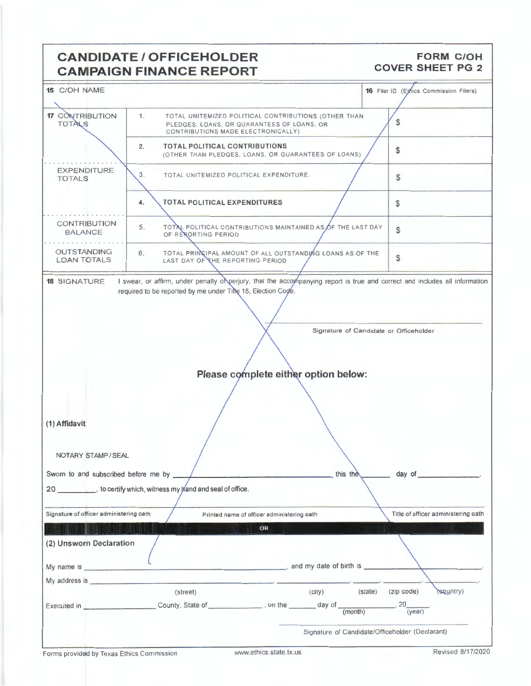### **CANDIDATE** / OFFICEHOLDER **CAMPAIGN FINANCE REPORT**

### **FORM C/OH COVER SHEET PG 2**

| 15 C/OH NAME                                |                                                                                        |                                                             | <b>16</b> Filer ID (Ethics Commission Filers)   |
|---------------------------------------------|----------------------------------------------------------------------------------------|-------------------------------------------------------------|-------------------------------------------------|
| <b>17 CONTRIBUTION</b><br><b>TOTALS</b>     | 1.<br>PLEDGES, LOANS, OR GUARANTEES OF LOANS, OR<br>CONTRIBUTIONS MADE ELECTRONICALLY) | TOTAL UNITEMIZED POLITICAL CONTRIBUTIONS (OTHER THAN        | \$                                              |
|                                             | <b>TOTAL POLITICAL CONTRIBUTIONS</b><br>2.                                             | (OTHER THAN PLEDGES, LOANS, OR GUARANTEES OF LOANS)         | \$                                              |
| <b>EXPENDITURE</b><br><b>TOTALS</b>         | 3.<br>TOTAL UNITEMIZED POLITICAL EXPENDITURE.                                          |                                                             | \$                                              |
|                                             | <b>TOTAL POLITICAL EXPENDITURES</b><br>4.                                              |                                                             | \$                                              |
| <b>CONTRIBUTION</b><br><b>BALANCE</b>       | 5.<br>OF RERORTING PERIOD                                                              | TOTAL POLITICAL CONTRIBUTIONS MAINTAINED AS OF THE LAST DAY | \$                                              |
| <b>OUTSTANDING</b><br><b>LOAN TOTALS</b>    | 6.<br>LAST DAY OF THE REPORTING PERIOD                                                 | TOTAL PRINCIPAL AMOUNT OF ALL OUTSTANDING LOANS AS OF THE   | \$                                              |
| (1) Affidavit<br>NOTARY STAMP / SEAL        |                                                                                        | Please complete either option below:                        | Signature of Candidate or Officeholder          |
| Sworn to and subscribed before me by ______ | 20 __________, to certify which, witness my kand and seal of office.                   | this the                                                    | day of                                          |
|                                             |                                                                                        |                                                             |                                                 |
| Signature of officer administering oath     |                                                                                        | Printed name of officer administering oath                  | Title of officer administering oath             |
|                                             |                                                                                        | OR                                                          |                                                 |
| (2) Unsworn Declaration                     |                                                                                        |                                                             |                                                 |
|                                             |                                                                                        | $\blacksquare$ and my date of birth is $\blacksquare$       |                                                 |
|                                             |                                                                                        |                                                             |                                                 |
|                                             | (street)                                                                               | (city)                                                      | (state)<br>$(zip \; code)$<br>(sountry)         |
|                                             |                                                                                        |                                                             | .20<br>(year)                                   |
|                                             |                                                                                        |                                                             | Signature of Candidate/Officeholder (Declarant) |

l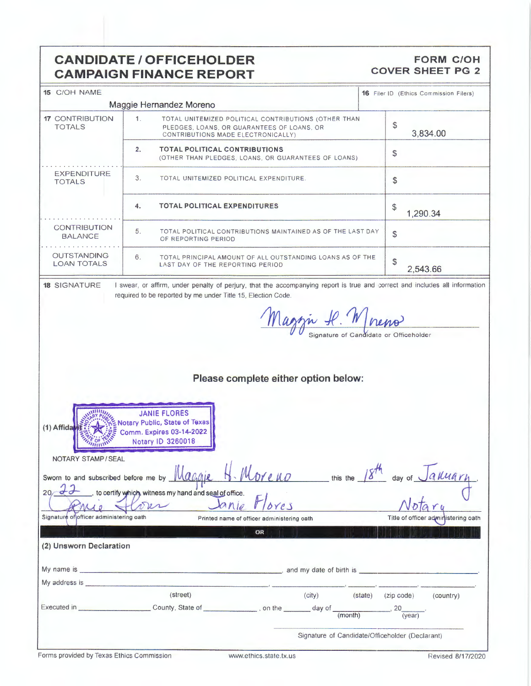### **CANDIDATE/ OFFICEHOLDER CAMPAIGN FINANCE REPORT**

### **FORM C/OH C OVER SHEET PG 2**

| 15 C/OH NAME                             |                                                                                                                                                                                             | <b>16</b> Filer ID (Ethics Commission Filers) |
|------------------------------------------|---------------------------------------------------------------------------------------------------------------------------------------------------------------------------------------------|-----------------------------------------------|
|                                          | Maggie Hernandez Moreno                                                                                                                                                                     |                                               |
| <b>17 CONTRIBUTION</b><br><b>TOTALS</b>  | 1.<br>TOTAL UNITEMIZED POLITICAL CONTRIBUTIONS (OTHER THAN<br>PLEDGES, LOANS, OR GUARANTEES OF LOANS, OR<br>CONTRIBUTIONS MADE ELECTRONICALLY)                                              | \$<br>3,834.00                                |
|                                          | 2.<br><b>TOTAL POLITICAL CONTRIBUTIONS</b><br>(OTHER THAN PLEDGES, LOANS, OR GUARANTEES OF LOANS)                                                                                           | \$                                            |
| <b>EXPENDITURE</b><br><b>TOTALS</b>      | 3.<br>TOTAL UNITEMIZED POLITICAL EXPENDITURE.                                                                                                                                               | \$                                            |
|                                          | <b>TOTAL POLITICAL EXPENDITURES</b><br>4.                                                                                                                                                   | \$<br>1,290.34                                |
| <b>CONTRIBUTION</b><br><b>BALANCE</b>    | 5.<br>TOTAL POLITICAL CONTRIBUTIONS MAINTAINED AS OF THE LAST DAY<br>OF REPORTING PERIOD                                                                                                    | \$                                            |
| <b>OUTSTANDING</b><br><b>LOAN TOTALS</b> | 6.<br>TOTAL PRINCIPAL AMOUNT OF ALL OUTSTANDING LOANS AS OF THE<br>LAST DAY OF THE REPORTING PERIOD                                                                                         | \$<br>2,543.66                                |
| <b>18 SIGNATURE</b>                      | I swear, or affirm, under penalty of perjury, that the accompanying report is true and correct and includes all information<br>required to be reported by me under Title 15, Election Code. |                                               |
|                                          |                                                                                                                                                                                             |                                               |
|                                          | Magni P. Mneno                                                                                                                                                                              |                                               |
|                                          |                                                                                                                                                                                             |                                               |
|                                          |                                                                                                                                                                                             |                                               |
|                                          |                                                                                                                                                                                             |                                               |
|                                          |                                                                                                                                                                                             |                                               |
|                                          |                                                                                                                                                                                             |                                               |
|                                          | Please complete either option below:                                                                                                                                                        |                                               |
|                                          |                                                                                                                                                                                             |                                               |
|                                          |                                                                                                                                                                                             |                                               |
| (1) Affida                               | <b>JANIE FLORES</b><br>Notary Public, State of Texas<br>Comm. Expires 03-14-2022<br>Notary ID 3260018                                                                                       |                                               |
|                                          |                                                                                                                                                                                             |                                               |
| NOTARY STAMP/SEAL                        | Ħ<br>38 F.<br>$\sim$ $\sim$ $\sim$ $\sim$                                                                                                                                                   | $\mu$                                         |
|                                          | H. Moreno<br>Sworn to and subscribed before me by <b>Wagnie</b><br>this the $-$                                                                                                             | Jakuar<br>day of                              |
| 20                                       | to certify which, witness my hand and seal of office.                                                                                                                                       |                                               |
| $M_{J}$                                  | $3$ nie<br>Der<br>res                                                                                                                                                                       |                                               |
| Signature of officer administering oath  | Printed name of officer administering oath                                                                                                                                                  | Title of officer administering oath           |
|                                          | OR                                                                                                                                                                                          |                                               |
| (2) Unsworn Declaration                  |                                                                                                                                                                                             |                                               |
|                                          |                                                                                                                                                                                             |                                               |
|                                          |                                                                                                                                                                                             |                                               |
|                                          |                                                                                                                                                                                             |                                               |
|                                          |                                                                                                                                                                                             |                                               |
|                                          | (street)<br>(city)<br>(state)                                                                                                                                                               | $(zip \; code)$<br>(country)                  |
|                                          | Executed in __________________________County, State of _______________. on the ________ day of ____<br>(month)                                                                              | ., 20<br>(year)                               |
|                                          |                                                                                                                                                                                             |                                               |
|                                          | Signature of Candidate/Officeholder (Declarant)                                                                                                                                             |                                               |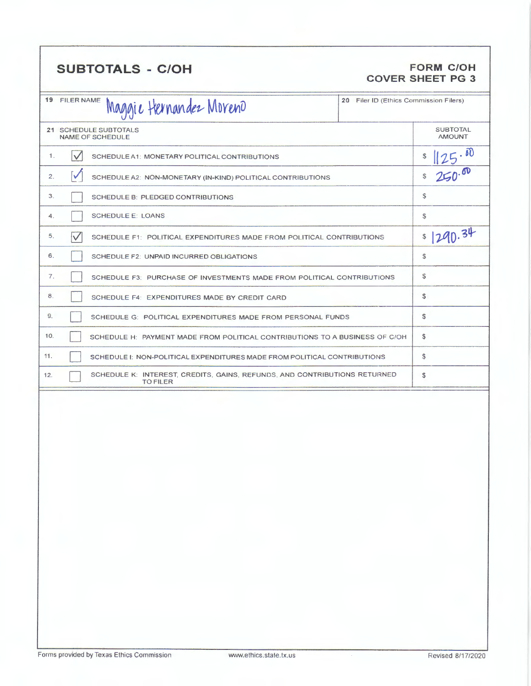### SUBTOTALS - C/OH **FORM C/OH**

## **COVER SHEET PG 3**

|     | 19 FILER NAME        | Maggie Hernandez Moreno                                                                      | 20 Filer ID (Ethics Commission Filers) |                                  |
|-----|----------------------|----------------------------------------------------------------------------------------------|----------------------------------------|----------------------------------|
|     |                      | 21 SCHEDULE SUBTOTALS<br>NAME OF SCHEDULE                                                    |                                        | <b>SUBTOTAL</b><br><b>AMOUNT</b> |
| 1.  | $\checkmark$         | SCHEDULE A1: MONETARY POLITICAL CONTRIBUTIONS                                                |                                        | 25.50<br>\$                      |
| 2.  | $\blacktriangledown$ | SCHEDULE A2: NON-MONETARY (IN-KIND) POLITICAL CONTRIBUTIONS                                  |                                        | 250.00<br>\$                     |
| 3.  |                      | SCHEDULE B: PLEDGED CONTRIBUTIONS                                                            |                                        | \$                               |
| 4.  |                      | <b>SCHEDULE E: LOANS</b>                                                                     |                                        | \$                               |
| 5.  | $\vee$               | SCHEDULE F1: POLITICAL EXPENDITURES MADE FROM POLITICAL CONTRIBUTIONS                        |                                        | 1290.34<br>\$                    |
| 6.  |                      | SCHEDULE F2: UNPAID INCURRED OBLIGATIONS                                                     |                                        | \$                               |
| 7.  |                      | SCHEDULE F3: PURCHASE OF INVESTMENTS MADE FROM POLITICAL CONTRIBUTIONS                       |                                        | \$                               |
| 8.  |                      | SCHEDULE F4: EXPENDITURES MADE BY CREDIT CARD                                                |                                        | S                                |
| 9.  |                      | SCHEDULE G: POLITICAL EXPENDITURES MADE FROM PERSONAL FUNDS                                  |                                        | S                                |
| 10. |                      | SCHEDULE H: PAYMENT MADE FROM POLITICAL CONTRIBUTIONS TO A BUSINESS OF C/OH                  |                                        | \$                               |
| 11. |                      | SCHEDULE 1: NON-POLITICAL EXPENDITURES MADE FROM POLITICAL CONTRIBUTIONS                     |                                        | \$                               |
| 12. |                      | SCHEDULE K: INTEREST, CREDITS, GAINS, REFUNDS, AND CONTRIBUTIONS RETURNED<br><b>TO FILER</b> |                                        | s.                               |
|     |                      |                                                                                              |                                        |                                  |
|     |                      |                                                                                              |                                        |                                  |
|     |                      |                                                                                              |                                        |                                  |
|     |                      |                                                                                              |                                        |                                  |
|     |                      |                                                                                              |                                        |                                  |
|     |                      |                                                                                              |                                        |                                  |
|     |                      |                                                                                              |                                        |                                  |
|     |                      |                                                                                              |                                        |                                  |
|     |                      |                                                                                              |                                        |                                  |
|     |                      |                                                                                              |                                        |                                  |
|     |                      |                                                                                              |                                        |                                  |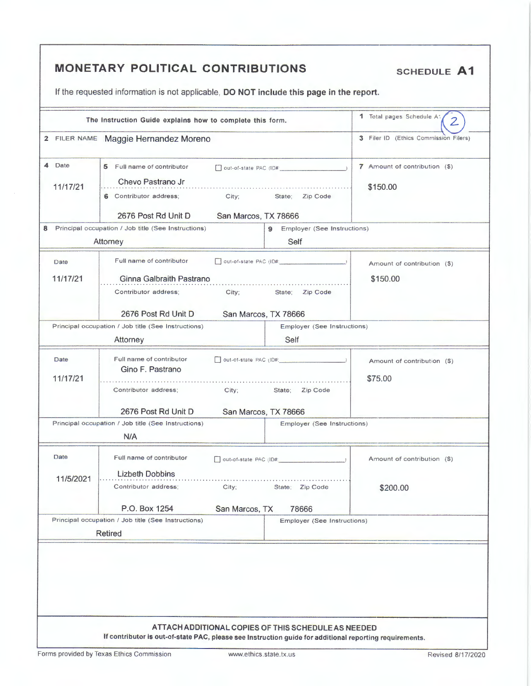|           | The Instruction Guide explains how to complete this form. |                                               | 1 Total pages Schedule At<br>$\overline{2}$ |
|-----------|-----------------------------------------------------------|-----------------------------------------------|---------------------------------------------|
|           | 2 FILER NAME Maggie Hernandez Moreno                      |                                               | 3 Filer ID (Ethics Commission Filers)       |
| Date<br>4 | 5 Full name of contributor                                | $\Box$ out-of-state PAC (ID# $\Box$ )         | 7 Amount of contribution (\$)               |
| 11/17/21  | Chevo Pastrano Jr                                         |                                               | \$150.00                                    |
|           | 6 Contributor address;<br>City;                           | Zip Code<br>State;                            |                                             |
|           | 2676 Post Rd Unit D                                       | San Marcos, TX 78666                          |                                             |
|           | Principal occupation / Job title (See Instructions)       | Employer (See Instructions)<br>$\overline{9}$ |                                             |
|           | Attorney                                                  | Self                                          |                                             |
| Date      | Full name of contributor                                  | out-of-state PAC (ID#: 1999)                  | Amount of contribution (\$)                 |
|           |                                                           |                                               |                                             |
| 11/17/21  | Ginna Galbraith Pastrano<br>Contributor address;<br>City; | State; Zip Code                               | \$150.00                                    |
|           |                                                           |                                               |                                             |
|           | 2676 Post Rd Unit D                                       | San Marcos, TX 78666                          |                                             |
|           | Principal occupation / Job title (See Instructions)       | Employer (See Instructions)                   |                                             |
|           | Attorney                                                  | Self                                          |                                             |
| Date      | Full name of contributor                                  |                                               | Amount of contribution (\$)                 |
| 11/17/21  |                                                           | Gino F. Pastrano<br>\$75.00                   |                                             |
|           | Contributor address;<br>City;                             | State: Zip Code                               |                                             |
|           | 2676 Post Rd Unit D                                       | San Marcos, TX 78666                          |                                             |
|           | Principal occupation / Job title (See Instructions)       | <b>Employer (See Instructions)</b>            |                                             |
|           | N/A                                                       |                                               |                                             |
| Date      | Full name of contributor                                  |                                               |                                             |
|           |                                                           | out-of-state PAC (ID#:                        | Amount of contribution (\$)                 |
| 11/5/2021 | <b>Lizbeth Dobbins</b><br>Contributor address;<br>City;   | State; Zip Code                               | \$200.00                                    |
|           |                                                           |                                               |                                             |
|           | P.O. Box 1254<br>San Marcos, TX                           | 78666                                         |                                             |
|           | Principal occupation / Job title (See Instructions)       | <b>Employer (See Instructions)</b>            |                                             |
|           | <b>Retired</b>                                            |                                               |                                             |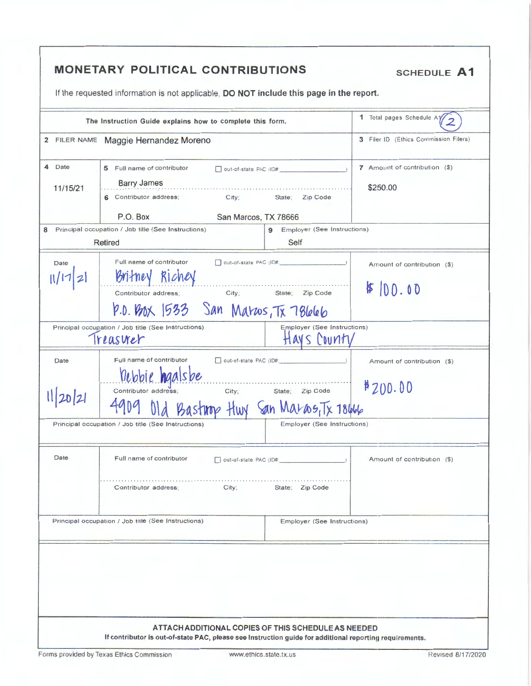|                       | The Instruction Guide explains how to complete this form.                                                                                                    |                                                                                | 1 Total pages Schedule A1/                |
|-----------------------|--------------------------------------------------------------------------------------------------------------------------------------------------------------|--------------------------------------------------------------------------------|-------------------------------------------|
|                       | 2 FILER NAME Maggie Hernandez Moreno                                                                                                                         |                                                                                | 3 Filer ID (Ethics Commission Filers)     |
| 4<br>Date<br>11/15/21 | 5 Full name of contributor<br><b>Barry James</b><br>6 Contributor address; City;                                                                             | out-of-state PAC (ID#<br>State; Zip Code                                       | 7 Amount of contribution (\$)<br>\$250.00 |
|                       | P.O. Box<br>San Marcos, TX 78666                                                                                                                             |                                                                                |                                           |
|                       | 8 Principal occupation / Job title (See Instructions)<br>Retired                                                                                             | 9 Employer (See Instructions)<br>Self                                          |                                           |
| Date                  | Full name of contributor<br>Britney Richey<br>Contributor address; City; State; Zip Code<br>P.O. Box 1533 San Maroos, Tx 78666                               |                                                                                | Amount of contribution (\$)<br>\$100.00   |
|                       | Principal occupation / Job title (See Instructions)<br>Treaswer                                                                                              | Employer (See Instructions)<br>Havs County                                     |                                           |
| Date<br>11/20/21      | Full name of contributor<br>rebbie haalsbe<br>Contributor address:<br>Bastnop Huy San Maras, Tx 18666<br>Principal occupation / Job title (See Instructions) | out-of-state PAC (ID#:<br>City; State; Zip Code<br>Employer (See Instructions) | Amount of contribution (\$)<br>#200.00    |
|                       |                                                                                                                                                              |                                                                                |                                           |
| Date                  | Full name of contributor<br>Contributor address;<br>City;                                                                                                    | out-of-state PAC (ID#:<br>State; Zip Code                                      | Amount of contribution (\$)               |
|                       | Principal occupation / Job title (See Instructions)                                                                                                          | Employer (See Instructions)                                                    |                                           |
|                       |                                                                                                                                                              |                                                                                |                                           |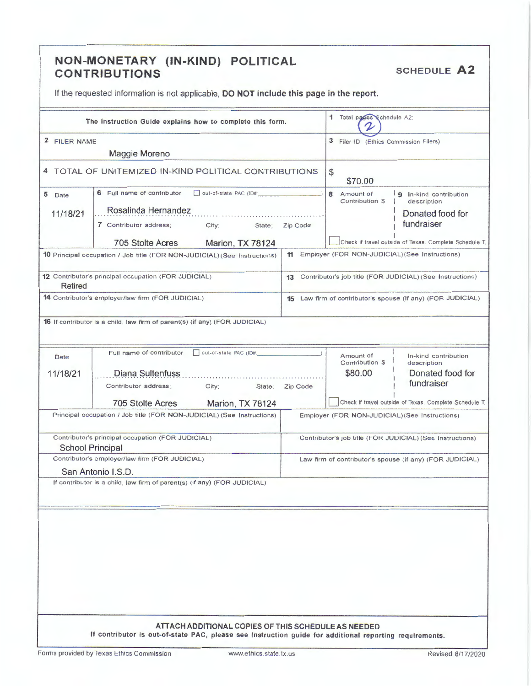### **NON-MONETARY (IN-KIND) POLITICAL CONTRIBUTIONS** SCHEDULE **A2**

If the requested information is not applicable, **DO NOT include this page in the report.** 

| The Instruction Guide explains how to complete this form.                                                                                 | 1 Total pages Schedule A2:                                                                                                                                     |  |
|-------------------------------------------------------------------------------------------------------------------------------------------|----------------------------------------------------------------------------------------------------------------------------------------------------------------|--|
| 2 FILER NAME                                                                                                                              | 3 Filer ID (Ethics Commission Filers)                                                                                                                          |  |
| Maggie Moreno                                                                                                                             |                                                                                                                                                                |  |
| 4 TOTAL OF UNITEMIZED IN-KIND POLITICAL CONTRIBUTIONS                                                                                     | \$<br>\$70.00                                                                                                                                                  |  |
| 6 Full name of contributor<br>out-of-state PAC (ID#:<br>5 Date                                                                            | 8 Amount of<br>9 In-kind contribution<br>Contribution S<br>description                                                                                         |  |
| Rosalinda Hernandez<br>11/18/21                                                                                                           | Donated food for                                                                                                                                               |  |
| 7 Contributor address;<br>City;                                                                                                           | fundraiser<br>Zip Code<br>State:                                                                                                                               |  |
| 705 Stolte Acres<br>Marion, TX 78124                                                                                                      | Check if travel outside of Texas. Complete Schedule T.                                                                                                         |  |
| <b>10</b> Principal occupation / Job title (FOR NON-JUDICIAL) (See Instructions)                                                          | 11 Employer (FOR NON-JUDICIAL) (See Instructions)                                                                                                              |  |
| 12 Contributor's principal occupation (FOR JUDICIAL)<br>Retired                                                                           | 13 Contributor's job title (FOR JUDICIAL) (See Instructions)                                                                                                   |  |
| 14 Contributor's employer/law firm (FOR JUDICIAL)                                                                                         | 15 Law firm of contributor's spouse (if any) (FOR JUDICIAL)                                                                                                    |  |
| 16 If contributor is a child, law firm of parent(s) (if any) (FOR JUDICIAL)                                                               |                                                                                                                                                                |  |
| out-of-state PAC (ID#<br>Full name of contributor<br>Date                                                                                 | Amount of<br>In-kind contribution                                                                                                                              |  |
| 11/18/21<br>Diana Sultenfuss                                                                                                              | Contribution \$<br>description<br>\$80.00<br>Donated food for                                                                                                  |  |
| City;<br>Contributor address;                                                                                                             | fundraiser<br>Zip Code<br>State;                                                                                                                               |  |
| 705 Stolte Acres<br>Marion, TX 78124                                                                                                      | Check if travel outside of Texas. Complete Schedule T.                                                                                                         |  |
| Principal occupation / Job title (FOR NON-JUDICIAL) (See Instructions)                                                                    | Employer (FOR NON-JUDICIAL) (See Instructions)                                                                                                                 |  |
| Contributor's principal occupation (FOR JUDICIAL)<br>Contributor's job title (FOR JUDICIAL) (See Instructions)<br><b>School Principal</b> |                                                                                                                                                                |  |
| Contributor's employer/law firm (FOR JUDICIAL)                                                                                            | Law firm of contributor's spouse (if any) (FOR JUDICIAL)                                                                                                       |  |
| San Antonio I.S.D.                                                                                                                        |                                                                                                                                                                |  |
| If contributor is a child, law firm of parent(s) (if any) (FOR JUDICIAL)                                                                  |                                                                                                                                                                |  |
|                                                                                                                                           |                                                                                                                                                                |  |
|                                                                                                                                           |                                                                                                                                                                |  |
|                                                                                                                                           |                                                                                                                                                                |  |
|                                                                                                                                           |                                                                                                                                                                |  |
|                                                                                                                                           |                                                                                                                                                                |  |
|                                                                                                                                           |                                                                                                                                                                |  |
|                                                                                                                                           |                                                                                                                                                                |  |
|                                                                                                                                           |                                                                                                                                                                |  |
|                                                                                                                                           |                                                                                                                                                                |  |
|                                                                                                                                           | ATTACH ADDITIONAL COPIES OF THIS SCHEDULE AS NEEDED<br>If contributor is out-of-state PAC, please see Instruction guide for additional reporting requirements. |  |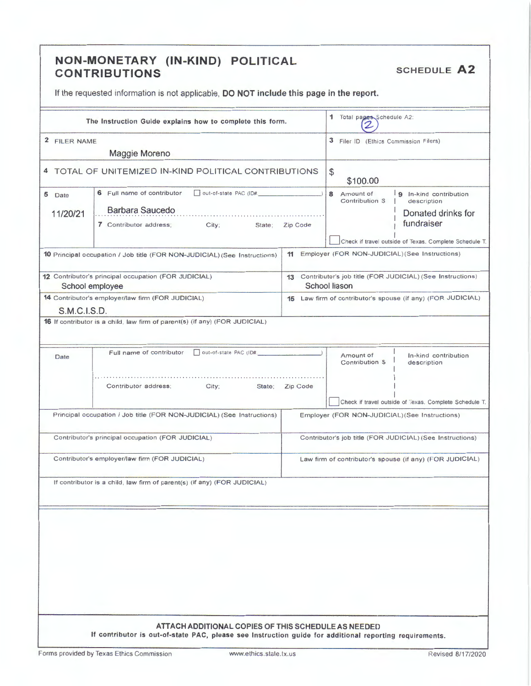### NON-MONETARY (IN-KIND) POLITICAL **CONTRIBUTIONS**

**SCHEDULE A2** 

If the requested information is not applicable, DO NOT include this page in the report.

|                                                   | The Instruction Guide explains how to complete this form.                                               |                                       | 1 Total pages Schedule A2:                               |                                                              |
|---------------------------------------------------|---------------------------------------------------------------------------------------------------------|---------------------------------------|----------------------------------------------------------|--------------------------------------------------------------|
| 2 FILER NAME                                      |                                                                                                         | 3 Filer ID (Ethics Commission Filers) |                                                          |                                                              |
| Maggie Moreno                                     |                                                                                                         |                                       |                                                          |                                                              |
|                                                   | 4 TOTAL OF UNITEMIZED IN-KIND POLITICAL CONTRIBUTIONS                                                   |                                       | \$<br>\$100.00                                           |                                                              |
| 5 Date                                            | out-of-state PAC (ID#.<br>6 Full name of contributor                                                    |                                       | 8 Amount of                                              | 9 In-kind contribution                                       |
|                                                   | Barbara Saucedo<br>11/20/21<br>City; State; Zip Code<br>7 Contributor address;                          |                                       | Contribution S                                           | description<br>Donated drinks for                            |
|                                                   |                                                                                                         |                                       |                                                          | fundraiser                                                   |
|                                                   |                                                                                                         |                                       |                                                          |                                                              |
|                                                   |                                                                                                         |                                       |                                                          | Check if travel outside of Texas. Complete Schedule T.       |
|                                                   | 10 Principal occupation / Job title (FOR NON-JUDICIAL) (See Instructions)                               |                                       |                                                          | 11 Employer (FOR NON-JUDICIAL) (See Instructions)            |
|                                                   | 12 Contributor's principal occupation (FOR JUDICIAL)                                                    |                                       | School liason                                            | 13 Contributor's job title (FOR JUDICIAL) (See Instructions) |
|                                                   | School employee<br>14 Contributor's employer/law firm (FOR JUDICIAL)                                    |                                       |                                                          | 15 Law firm of contributor's spouse (if any) (FOR JUDICIAL)  |
| <b>S.M.C.I.S.D.</b>                               |                                                                                                         |                                       |                                                          |                                                              |
|                                                   | 16 If contributor is a child, law firm of parent(s) (if any) (FOR JUDICIAL)                             |                                       |                                                          |                                                              |
|                                                   |                                                                                                         |                                       |                                                          |                                                              |
| Date                                              | Out-of-state PAC (ID#.<br>Full name of contributor                                                      |                                       | Amount of<br>Contribution \$                             | In-kind contribution<br>description                          |
|                                                   | City;<br>State:<br>Contributor address;                                                                 | Zip Code                              |                                                          | Check if travel outside of Texas, Complete Schedule T.       |
|                                                   | Principal occupation / Job title (FOR NON-JUDICIAL) (See Instructions)                                  |                                       |                                                          | Employer (FOR NON-JUDICIAL) (See Instructions)               |
| Contributor's principal occupation (FOR JUDICIAL) |                                                                                                         |                                       |                                                          | Contributor's job title (FOR JUDICIAL) (See Instructions)    |
| Contributor's employer/law firm (FOR JUDICIAL)    |                                                                                                         |                                       | Law firm of contributor's spouse (if any) (FOR JUDICIAL) |                                                              |
|                                                   | If contributor is a child, law firm of parent(s) (if any) (FOR JUDICIAL)                                |                                       |                                                          |                                                              |
|                                                   |                                                                                                         |                                       |                                                          |                                                              |
|                                                   |                                                                                                         |                                       |                                                          |                                                              |
|                                                   |                                                                                                         |                                       |                                                          |                                                              |
|                                                   |                                                                                                         |                                       |                                                          |                                                              |
|                                                   |                                                                                                         |                                       |                                                          |                                                              |
|                                                   |                                                                                                         |                                       |                                                          |                                                              |
|                                                   |                                                                                                         |                                       |                                                          |                                                              |
|                                                   |                                                                                                         |                                       |                                                          |                                                              |
|                                                   |                                                                                                         |                                       |                                                          |                                                              |
|                                                   | ATTACH ADDITIONAL COPIES OF THIS SCHEDULE AS NEEDED                                                     |                                       |                                                          |                                                              |
|                                                   | If contributor is out-of-state PAC, please see Instruction guide for additional reporting requirements. |                                       |                                                          |                                                              |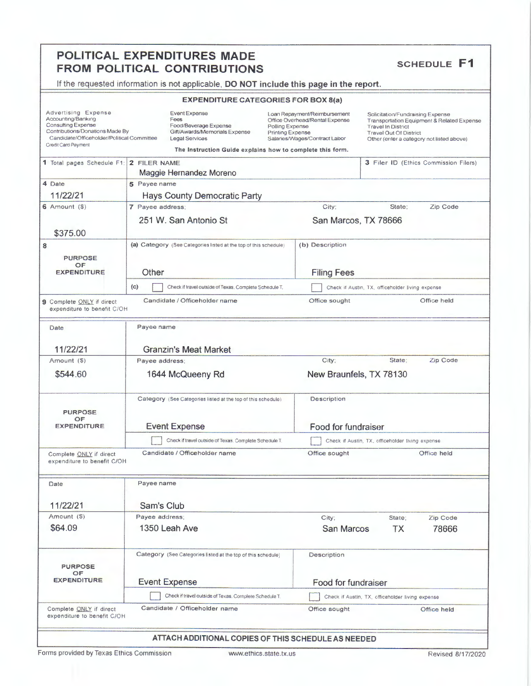# **POLITICAL EXPENDITURES MADE<br>FROM POLITICAL CONTRIBUTIONS SCHEDULE F1**

If the requested information is not applicable, **DO NOT include this page in the report.** 

#### **EXPENDITURE CATEGORIES FOR BOX 8(a)**

| Advertising Expense<br>Accounting/Banking<br><b>Consulting Expense</b><br>Contributions/Donations Made By<br>Candidate/Officeholder/Political Committee<br>Credit Card Payment | <b>Event Expense</b><br>Fees<br>Food/Beverage Expense<br>Gift/Awards/Memorials Expense<br><b>Legal Services</b>    | Loan Repayment/Reimbursement<br>Office Overhead/Rental Expense<br>Polling Expense<br>Printing Expense<br>Salaries/Wages/Contract Labor<br>The Instruction Guide explains how to complete this form. | Solicitation/Fundraising Expense<br>Transportation Equipment & Related Expense<br><b>Travel In District</b><br><b>Travel Out Of District</b><br>Other (enter a category not listed above) |  |
|--------------------------------------------------------------------------------------------------------------------------------------------------------------------------------|--------------------------------------------------------------------------------------------------------------------|-----------------------------------------------------------------------------------------------------------------------------------------------------------------------------------------------------|-------------------------------------------------------------------------------------------------------------------------------------------------------------------------------------------|--|
| 1 Total pages Schedule F1:                                                                                                                                                     | 2 FILER NAME<br>Maggie Hernandez Moreno                                                                            |                                                                                                                                                                                                     | 3 Filer ID (Ethics Commission Filers)                                                                                                                                                     |  |
| 4 Date                                                                                                                                                                         | 5 Payee name                                                                                                       |                                                                                                                                                                                                     |                                                                                                                                                                                           |  |
| 11/22/21                                                                                                                                                                       | <b>Hays County Democratic Party</b>                                                                                |                                                                                                                                                                                                     |                                                                                                                                                                                           |  |
| $6$ Amount $(9)$                                                                                                                                                               | 7 Payee address;                                                                                                   | City:                                                                                                                                                                                               | State;<br>Zip Code                                                                                                                                                                        |  |
|                                                                                                                                                                                | 251 W. San Antonio St                                                                                              |                                                                                                                                                                                                     | San Marcos, TX 78666                                                                                                                                                                      |  |
| \$375.00                                                                                                                                                                       |                                                                                                                    |                                                                                                                                                                                                     |                                                                                                                                                                                           |  |
| 8<br><b>PURPOSE</b><br>OF<br><b>EXPENDITURE</b>                                                                                                                                | (b) Description<br>(a) Category (See Categories listed at the top of this schedule)<br>Other<br><b>Filing Fees</b> |                                                                                                                                                                                                     |                                                                                                                                                                                           |  |
|                                                                                                                                                                                | (c)<br>Check if travel outside of Texas. Complete Schedule T.                                                      |                                                                                                                                                                                                     | Check if Austin, TX, officeholder living expense                                                                                                                                          |  |
| 9 Complete ONLY if direct<br>expenditure to benefit C/OH                                                                                                                       | Candidate / Officeholder name                                                                                      | Office sought                                                                                                                                                                                       | Office held                                                                                                                                                                               |  |
| Date                                                                                                                                                                           | Payee name                                                                                                         |                                                                                                                                                                                                     |                                                                                                                                                                                           |  |
| 11/22/21                                                                                                                                                                       | <b>Granzin's Meat Market</b>                                                                                       |                                                                                                                                                                                                     |                                                                                                                                                                                           |  |
| Amount (\$)                                                                                                                                                                    | Payee address;                                                                                                     | City;                                                                                                                                                                                               | State;<br>Zip Code                                                                                                                                                                        |  |
| \$544.60                                                                                                                                                                       | 1644 McQueeny Rd                                                                                                   | New Braunfels, TX 78130                                                                                                                                                                             |                                                                                                                                                                                           |  |
| <b>PURPOSE</b>                                                                                                                                                                 | Category (See Categories listed at the top of this schedule)                                                       | Description                                                                                                                                                                                         |                                                                                                                                                                                           |  |
| OF<br><b>EXPENDITURE</b>                                                                                                                                                       | <b>Event Expense</b>                                                                                               | Food for fundraiser                                                                                                                                                                                 |                                                                                                                                                                                           |  |
|                                                                                                                                                                                | Check if travel outside of Texas. Complete Schedule T.                                                             |                                                                                                                                                                                                     | Check if Austin, TX, officeholder living expense                                                                                                                                          |  |
| Complete ONLY if direct<br>expenditure to benefit C/OH                                                                                                                         | Candidate / Officeholder name                                                                                      | Office sought                                                                                                                                                                                       | Office held                                                                                                                                                                               |  |
| Date                                                                                                                                                                           | Payee name                                                                                                         |                                                                                                                                                                                                     |                                                                                                                                                                                           |  |
| 11/22/21                                                                                                                                                                       | Sam's Club                                                                                                         |                                                                                                                                                                                                     |                                                                                                                                                                                           |  |
| Amount (S)                                                                                                                                                                     | Payee address:                                                                                                     | City;                                                                                                                                                                                               | Zip Code<br>State;                                                                                                                                                                        |  |
| \$64.09                                                                                                                                                                        | 1350 Leah Ave                                                                                                      | <b>San Marcos</b>                                                                                                                                                                                   | <b>TX</b><br>78666                                                                                                                                                                        |  |
| <b>PURPOSE</b><br>OF                                                                                                                                                           | Category (See Categories listed at the top of this schedule)                                                       | Description                                                                                                                                                                                         |                                                                                                                                                                                           |  |
| <b>EXPENDITURE</b>                                                                                                                                                             | <b>Event Expense</b>                                                                                               | Food for fundraiser                                                                                                                                                                                 |                                                                                                                                                                                           |  |
|                                                                                                                                                                                | Check if travel outside of Texas, Complete Schedule T.                                                             |                                                                                                                                                                                                     | Check if Austin, TX, officeholder living expense                                                                                                                                          |  |
| Complete ONLY if direct<br>expenditure to benefit C/OH                                                                                                                         | Candidate / Officeholder name                                                                                      | Office sought                                                                                                                                                                                       | Office held                                                                                                                                                                               |  |
|                                                                                                                                                                                |                                                                                                                    | ATTACH ADDITIONAL COPIES OF THIS SCHEDULE AS NEEDED                                                                                                                                                 |                                                                                                                                                                                           |  |

Forms provided by Texas Ethics Commission www.ethics.state.tx.us Revised 8/17/2020